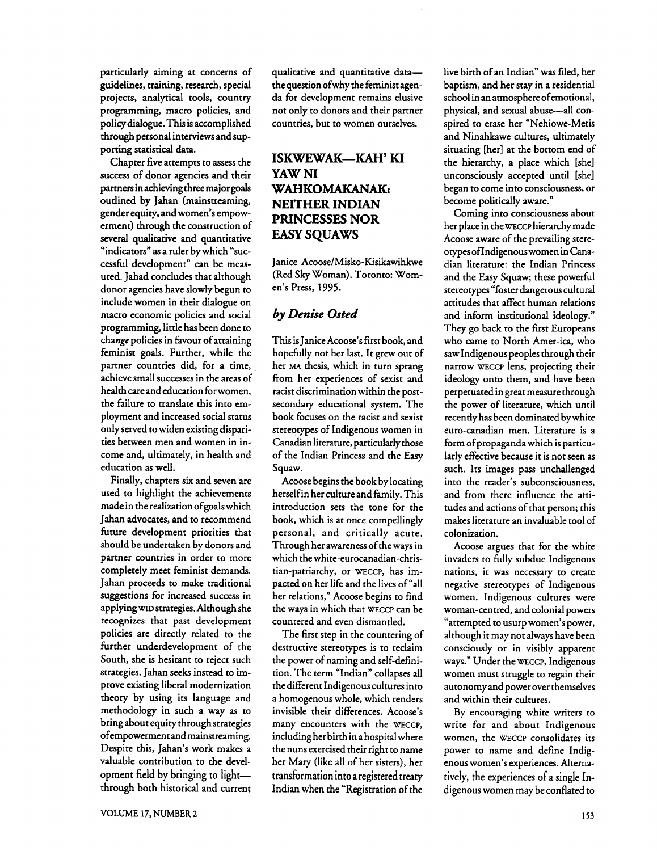particularly aiming at concerns of guidelines, training, research, special projects, analytical tools, country programming, macro policies, and policy dialogue. This is accomplished through personal interviews and supporting statistical data.

Chapter five attempts to assess the success of donor agencies and their partners in achieving three major goals outlined by Jahan (mainstreaming, gender equity, and women's empowerment) through the construction of several qualitative and quantitative "indicators" as a ruler by which "successful development" can be measured. Jahad concludes that although donor agencies have slowly begun to include women in their dialogue on macro economic policies and social programming, little has been done to change policies in favour of attaining feminist goals. Further, while the partner countries did, for a time, achieve small successes in the areas of health care and education for women, the failure to translate this into employment and increased social status only served to widen existing disparities between men and women in income and, ultimately, in health and education as well.

Finally, chapters six and seven are used to highlight the achievements made in the realization ofgoals which Jahan advocates, and to recommend future development priorities that should be undertaken by donors and partner countries in order to more completely meet feminist demands. Jahan proceeds to make traditional suggestions for increased success in applying **WID** strategies. Although she recognizes that past development policies are directly related to the further underdevelopment of the South, she is hesitant to reject such strategies. Jahan seeks instead to improve existing liberal modernization theory by using its language and methodology in such a way as to bring about equity through strategies ofempowerment and mainstreaming. Despite this, Jahan's work makes a valuable contribution to the development field by bringing to lightthrough both historical and current qualitative and quantitative datathequestion ofwhy the feminist agenda for development remains elusive not only to donors and their partner countries, but to women ourselves.

# **ISKWEWAK-KAH' KI YAW NI WAHKOMAKANAK: NEITHER INDIAN PRINCESSES NOR EASY SQUAWS**

Janice **Acoose/Misko-Kisikawihkwe**  (Red **Sky** Woman). Toronto: Women's Press, 1995.

## **by** *Denise* **Osted**

This is Janice Acoose's first book, and hopefully not her last. It grew out of her MA thesis, which in turn sprang from her experiences of sexist and racist discrimination within the postsecondary educational system. The book focuses on the racist and sexist stereotypes of Indigenous women in Canadian literature, particularly those of the Indian Princess and the Easy Squaw.

Acoose begins the book by locating herselfin her culture and family. This introduction sets the tone for the book, which is at once compellingly personal, and critically acute. Through her awareness of the ways in which the **white-eurocanadian-chris**tian-patriarchy, or WECCP, has impacted on her life and the lives of "all her relations," Acoose begins to find the ways in which that WECCP can be countered and even dismantled.

The first step in the countering of destructive stereotypes is to reclaim the power of naming and self-definition. The term "Indian" collapses all the different Indigenous cultures into a homogenous whole, which renders invisible their differences. Acoose's many encounters with the WECCP, including her birth in a hospital where the nuns exercised their right to name her Mary (like all of her sisters), her transformation into a registered treaty Indian when the "Registration of the

live birth of an Indian" was filed, her baptism, and her stay in a residential school in an atmosphere ofemotional, physical, and sexual abuse-all conspired to erase her "Nehiowe-Metis and Ninahkawe cultures, ultimately situating [her] at the bottom end of the hierarchy, a place which [she] unconsciously accepted until [she] began to come into consciousness, or become politically aware."

Coming into consciousness about her place in the WECCP hierarchy made Acoose aware of the prevailing stereotypes oflndigenous women in Canadian literature: the Indian Princess and the Easy Squaw; these powerful stereotypes "foster dangerous cultural attitudes that affect human relations and inform institutional ideology." They go back to the first Europeans who came to North Amer-ica, who saw Indigenous peoples through their narrow WECCP lens, projecting their ideology onto them, and have been perpetuated in great measure through the power of literature, which until recently has been dominated by white euro-canadian men. Literature is a form of propaganda which is particularly effective because it is not seen as such. Its images pass unchallenged into the reader's subconsciousness, and from there influence the attitudes and actions of that person; this makes literature an invaluable tool of colonization.

Acoose argues that for the white invaders to fully subdue Indigenous nations, it was necessary to create negative stereotypes of Indigenous women. Indigenous cultures were woman-centred, and colonial powers "attempted to usurp women's power, although it may not always have been consciously or in visibly apparent ways." Under the WECCP, Indigenous women must struggle to regain their autonomy and power over themselves and within their cultures.

By encouraging white writers to write for and about Indigenous women, the WECCP consolidates its power to name and define Indigenous women's experiences. Alternatively, the experiences of a single Indigenous women may be conflated to